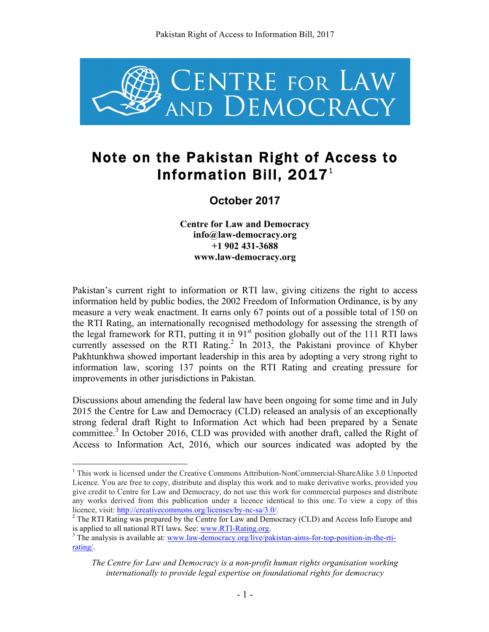

# Note on the Pakistan Right of Access to Information Bill, 2017 $^{\rm 1}$

**October 2017**

**Centre for Law and Democracy info@law-democracy.org +1 902 431-3688 www.law-democracy.org**

Pakistan's current right to information or RTI law, giving citizens the right to access information held by public bodies, the 2002 Freedom of Information Ordinance, is by any measure a very weak enactment. It earns only 67 points out of a possible total of 150 on the RTI Rating, an internationally recognised methodology for assessing the strength of the legal framework for RTI, putting it in  $91<sup>st</sup>$  position globally out of the 111 RTI laws currently assessed on the RTI Rating. <sup>2</sup> In 2013, the Pakistani province of Khyber Pakhtunkhwa showed important leadership in this area by adopting a very strong right to information law, scoring 137 points on the RTI Rating and creating pressure for improvements in other jurisdictions in Pakistan.

Discussions about amending the federal law have been ongoing for some time and in July 2015 the Centre for Law and Democracy (CLD) released an analysis of an exceptionally strong federal draft Right to Information Act which had been prepared by a Senate committee.<sup>3</sup> In October 2016, CLD was provided with another draft, called the Right of Access to Information Act, 2016, which our sources indicated was adopted by the

<sup>&</sup>lt;sup>1</sup> This work is licensed under the Creative Commons Attribution-NonCommercial-ShareAlike 3.0 Unported Licence. You are free to copy, distribute and display this work and to make derivative works, provided you give credit to Centre for Law and Democracy, do not use this work for commercial purposes and distribute any works derived from this publication under a licence identical to this one. To view a copy of this licence, visit: http://creativecommons.org/licenses/by-nc-sa/3.0/.<br><sup>2</sup> The RTI Rating was prepared by the Centre for Law and Democracy (CLD) and Access Info Europe and

is applied to all national RTI laws. See: www.RTI-Rating.org.<br><sup>3</sup> The analysis is available at: www.law-democracy.org/live/pakistan-aims-for-top-position-in-the-rti-

rating/.

*The Centre for Law and Democracy is a non-profit human rights organisation working internationally to provide legal expertise on foundational rights for democracy*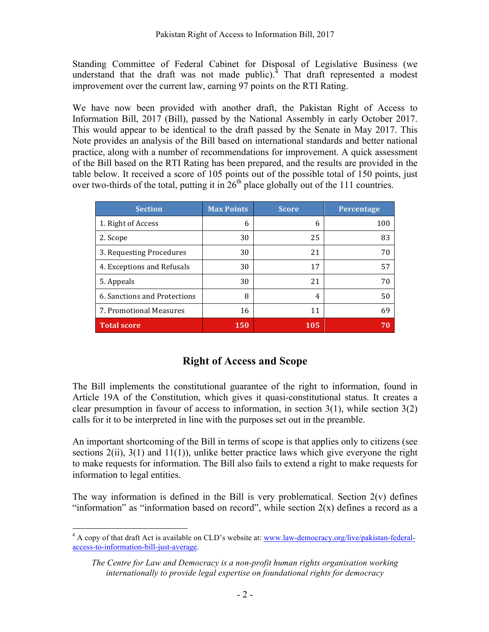Standing Committee of Federal Cabinet for Disposal of Legislative Business (we understand that the draft was not made public). $\frac{4}{1}$  That draft represented a modest improvement over the current law, earning 97 points on the RTI Rating.

We have now been provided with another draft, the Pakistan Right of Access to Information Bill, 2017 (Bill), passed by the National Assembly in early October 2017. This would appear to be identical to the draft passed by the Senate in May 2017. This Note provides an analysis of the Bill based on international standards and better national practice, along with a number of recommendations for improvement. A quick assessment of the Bill based on the RTI Rating has been prepared, and the results are provided in the table below. It received a score of 105 points out of the possible total of 150 points, just over two-thirds of the total, putting it in  $26<sup>th</sup>$  place globally out of the 111 countries.

| <b>Section</b>               | <b>Max Points</b> | <b>Score</b> | <b>Percentage</b> |
|------------------------------|-------------------|--------------|-------------------|
| 1. Right of Access           | 6                 | 6            | 100               |
| 2. Scope                     | 30                | 25           | 83                |
| 3. Requesting Procedures     | 30                | 21           | 70                |
| 4. Exceptions and Refusals   | 30                | 17           | 57                |
| 5. Appeals                   | 30                | 21           | 70                |
| 6. Sanctions and Protections | 8                 | 4            | 50                |
| 7. Promotional Measures      | 16                | 11           | 69                |
| <b>Total score</b>           | 150               | 105          | 70                |

# **Right of Access and Scope**

The Bill implements the constitutional guarantee of the right to information, found in Article 19A of the Constitution, which gives it quasi-constitutional status. It creates a clear presumption in favour of access to information, in section  $3(1)$ , while section  $3(2)$ calls for it to be interpreted in line with the purposes set out in the preamble.

An important shortcoming of the Bill in terms of scope is that applies only to citizens (see sections  $2(ii)$ ,  $3(1)$  and  $11(1)$ ), unlike better practice laws which give everyone the right to make requests for information. The Bill also fails to extend a right to make requests for information to legal entities.

The way information is defined in the Bill is very problematical. Section  $2(v)$  defines "information" as "information based on record", while section  $2(x)$  defines a record as a

<sup>&</sup>lt;sup>4</sup> A copy of that draft Act is available on CLD's website at: www.law-democracy.org/live/pakistan-federalaccess-to-information-bill-just-average.

*The Centre for Law and Democracy is a non-profit human rights organisation working internationally to provide legal expertise on foundational rights for democracy*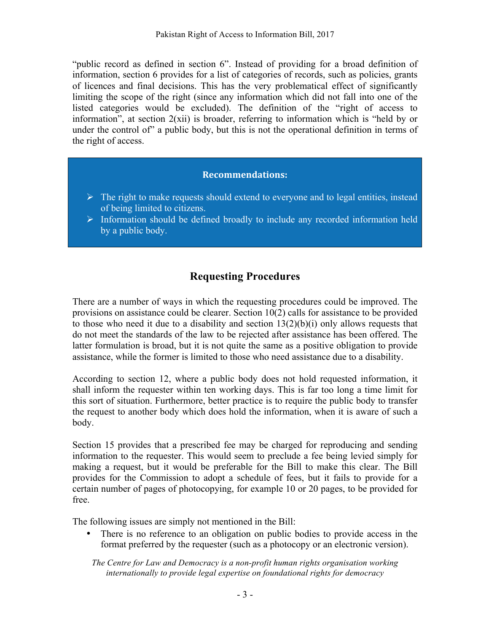"public record as defined in section 6". Instead of providing for a broad definition of information, section 6 provides for a list of categories of records, such as policies, grants of licences and final decisions. This has the very problematical effect of significantly limiting the scope of the right (since any information which did not fall into one of the listed categories would be excluded). The definition of the "right of access to information", at section 2(xii) is broader, referring to information which is "held by or under the control of" a public body, but this is not the operational definition in terms of the right of access.

#### **Recommendations:**

- $\triangleright$  The right to make requests should extend to everyone and to legal entities, instead of being limited to citizens.
- $\triangleright$  Information should be defined broadly to include any recorded information held by a public body.

### **Requesting Procedures**

There are a number of ways in which the requesting procedures could be improved. The provisions on assistance could be clearer. Section 10(2) calls for assistance to be provided to those who need it due to a disability and section  $13(2)(b)(i)$  only allows requests that do not meet the standards of the law to be rejected after assistance has been offered. The latter formulation is broad, but it is not quite the same as a positive obligation to provide assistance, while the former is limited to those who need assistance due to a disability.

According to section 12, where a public body does not hold requested information, it shall inform the requester within ten working days. This is far too long a time limit for this sort of situation. Furthermore, better practice is to require the public body to transfer the request to another body which does hold the information, when it is aware of such a body.

Section 15 provides that a prescribed fee may be charged for reproducing and sending information to the requester. This would seem to preclude a fee being levied simply for making a request, but it would be preferable for the Bill to make this clear. The Bill provides for the Commission to adopt a schedule of fees, but it fails to provide for a certain number of pages of photocopying, for example 10 or 20 pages, to be provided for free.

The following issues are simply not mentioned in the Bill:

There is no reference to an obligation on public bodies to provide access in the format preferred by the requester (such as a photocopy or an electronic version).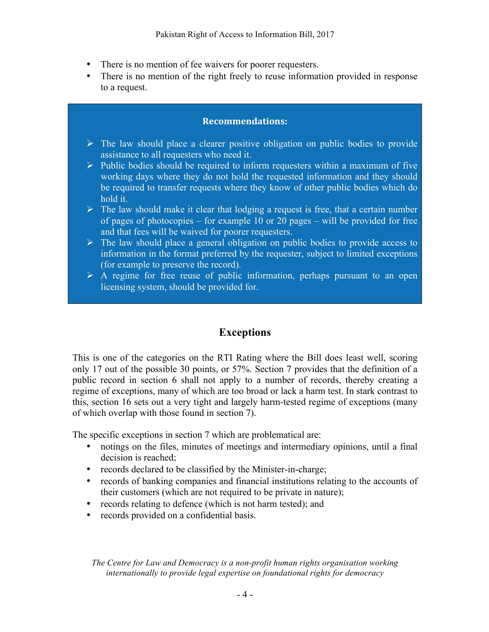- There is no mention of fee waivers for poorer requesters.
- There is no mention of the right freely to reuse information provided in response to a request.

### **Recommendations:**

- $\triangleright$  The law should place a clearer positive obligation on public bodies to provide assistance to all requesters who need it.
- $\triangleright$  Public bodies should be required to inform requesters within a maximum of five working days where they do not hold the requested information and they should be required to transfer requests where they know of other public bodies which do hold it.
- $\triangleright$  The law should make it clear that lodging a request is free, that a certain number of pages of photocopies – for example 10 or 20 pages – will be provided for free and that fees will be waived for poorer requesters.
- $\triangleright$  The law should place a general obligation on public bodies to provide access to information in the format preferred by the requester, subject to limited exceptions (for example to preserve the record).
- $\triangleright$  A regime for free reuse of public information, perhaps pursuant to an open licensing system, should be provided for.

# **Exceptions**

This is one of the categories on the RTI Rating where the Bill does least well, scoring only 17 out of the possible 30 points, or 57%. Section 7 provides that the definition of a public record in section 6 shall not apply to a number of records, thereby creating a regime of exceptions, many of which are too broad or lack a harm test. In stark contrast to this, section 16 sets out a very tight and largely harm-tested regime of exceptions (many of which overlap with those found in section 7).

The specific exceptions in section 7 which are problematical are:

- notings on the files, minutes of meetings and intermediary opinions, until a final decision is reached;
- records declared to be classified by the Minister-in-charge;
- records of banking companies and financial institutions relating to the accounts of their customers (which are not required to be private in nature);
- records relating to defence (which is not harm tested); and
- records provided on a confidential basis.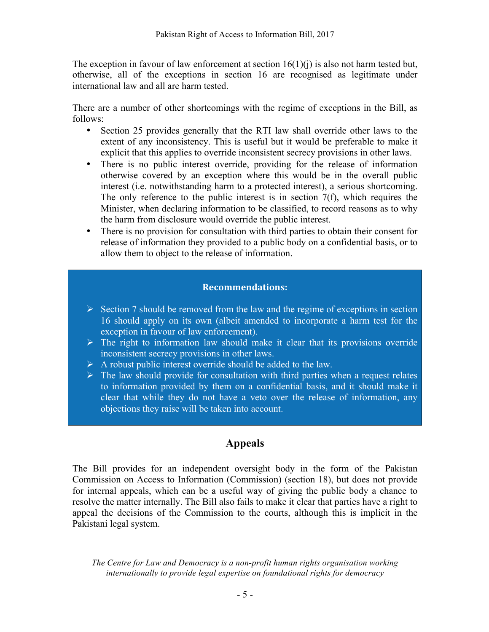The exception in favour of law enforcement at section  $16(1)(i)$  is also not harm tested but, otherwise, all of the exceptions in section 16 are recognised as legitimate under international law and all are harm tested.

There are a number of other shortcomings with the regime of exceptions in the Bill, as follows:

- Section 25 provides generally that the RTI law shall override other laws to the extent of any inconsistency. This is useful but it would be preferable to make it explicit that this applies to override inconsistent secrecy provisions in other laws.
- There is no public interest override, providing for the release of information otherwise covered by an exception where this would be in the overall public interest (i.e. notwithstanding harm to a protected interest), a serious shortcoming. The only reference to the public interest is in section 7(f), which requires the Minister, when declaring information to be classified, to record reasons as to why the harm from disclosure would override the public interest.
- There is no provision for consultation with third parties to obtain their consent for release of information they provided to a public body on a confidential basis, or to allow them to object to the release of information.

### **Recommendations:**

- $\triangleright$  Section 7 should be removed from the law and the regime of exceptions in section 16 should apply on its own (albeit amended to incorporate a harm test for the exception in favour of law enforcement).
- $\triangleright$  The right to information law should make it clear that its provisions override inconsistent secrecy provisions in other laws.
- $\triangleright$  A robust public interest override should be added to the law.
- $\triangleright$  The law should provide for consultation with third parties when a request relates to information provided by them on a confidential basis, and it should make it clear that while they do not have a veto over the release of information, any objections they raise will be taken into account.

# **Appeals**

The Bill provides for an independent oversight body in the form of the Pakistan Commission on Access to Information (Commission) (section 18), but does not provide for internal appeals, which can be a useful way of giving the public body a chance to resolve the matter internally. The Bill also fails to make it clear that parties have a right to appeal the decisions of the Commission to the courts, although this is implicit in the Pakistani legal system.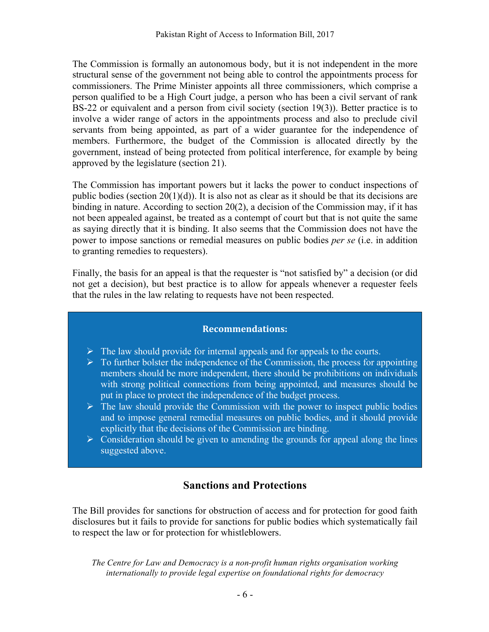The Commission is formally an autonomous body, but it is not independent in the more structural sense of the government not being able to control the appointments process for commissioners. The Prime Minister appoints all three commissioners, which comprise a person qualified to be a High Court judge, a person who has been a civil servant of rank BS-22 or equivalent and a person from civil society (section 19(3)). Better practice is to involve a wider range of actors in the appointments process and also to preclude civil servants from being appointed, as part of a wider guarantee for the independence of members. Furthermore, the budget of the Commission is allocated directly by the government, instead of being protected from political interference, for example by being approved by the legislature (section 21).

The Commission has important powers but it lacks the power to conduct inspections of public bodies (section 20(1)(d)). It is also not as clear as it should be that its decisions are binding in nature. According to section 20(2), a decision of the Commission may, if it has not been appealed against, be treated as a contempt of court but that is not quite the same as saying directly that it is binding. It also seems that the Commission does not have the power to impose sanctions or remedial measures on public bodies *per se* (i.e. in addition to granting remedies to requesters).

Finally, the basis for an appeal is that the requester is "not satisfied by" a decision (or did not get a decision), but best practice is to allow for appeals whenever a requester feels that the rules in the law relating to requests have not been respected.

#### **Recommendations:**

- $\triangleright$  The law should provide for internal appeals and for appeals to the courts.
- $\triangleright$  To further bolster the independence of the Commission, the process for appointing members should be more independent, there should be prohibitions on individuals with strong political connections from being appointed, and measures should be put in place to protect the independence of the budget process.
- $\triangleright$  The law should provide the Commission with the power to inspect public bodies and to impose general remedial measures on public bodies, and it should provide explicitly that the decisions of the Commission are binding.
- $\triangleright$  Consideration should be given to amending the grounds for appeal along the lines suggested above.

### **Sanctions and Protections**

The Bill provides for sanctions for obstruction of access and for protection for good faith disclosures but it fails to provide for sanctions for public bodies which systematically fail to respect the law or for protection for whistleblowers.